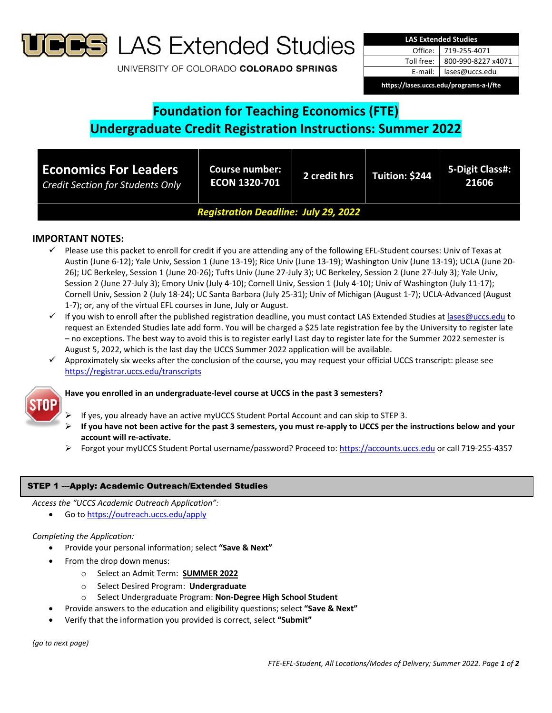

**B** LAS Extended Studies

UNIVERSITY OF COLORADO COLORADO SPRINGS

| <b>LAS Extended Studies</b>             |                    |  |  |  |
|-----------------------------------------|--------------------|--|--|--|
| Office:                                 | 719-255-4071       |  |  |  |
| Toll free:                              | 800-990-8227 x4071 |  |  |  |
| E-mail:                                 | lases@uccs.edu     |  |  |  |
| https://lases.uccs.edu/programs-a-l/fte |                    |  |  |  |

# **Foundation for Teaching Economics (FTE) Undergraduate Credit Registration Instructions: Summer 2022**

| <b>Economics For Leaders</b><br><b>Credit Section for Students Only</b> | Course number:<br><b>ECON 1320-701</b> | 2 credit hrs | Tuition: \$244 | 5-Digit Class#:<br>21606 |  |
|-------------------------------------------------------------------------|----------------------------------------|--------------|----------------|--------------------------|--|
| <b>Registration Deadline: July 29, 2022</b>                             |                                        |              |                |                          |  |

# **IMPORTANT NOTES:**

- Please use this packet to enroll for credit if you are attending any of the following EFL‐Student courses: Univ of Texas at Austin (June 6‐12); Yale Univ, Session 1 (June 13‐19); Rice Univ (June 13‐19); Washington Univ (June 13‐19); UCLA (June 20‐ 26); UC Berkeley, Session 1 (June 20‐26); Tufts Univ (June 27‐July 3); UC Berkeley, Session 2 (June 27‐July 3); Yale Univ, Session 2 (June 27‐July 3); Emory Univ (July 4‐10); Cornell Univ, Session 1 (July 4‐10); Univ of Washington (July 11‐17); Cornell Univ, Session 2 (July 18‐24); UC Santa Barbara (July 25‐31); Univ of Michigan (August 1‐7); UCLA‐Advanced (August 1‐7); or, any of the virtual EFL courses in June, July or August.
- √ If you wish to enroll after the published registration deadline, you must contact LAS Extended Studies at lases@uccs.edu to request an Extended Studies late add form. You will be charged a \$25 late registration fee by the University to register late – no exceptions. The best way to avoid this is to register early! Last day to register late for the Summer 2022 semester is August 5, 2022, which is the last day the UCCS Summer 2022 application will be available.
- $\checkmark$  Approximately six weeks after the conclusion of the course, you may request your official UCCS transcript: please see https://registrar.uccs.edu/transcripts

### **Have you enrolled in an undergraduate‐level course at UCCS in the past 3 semesters?**

- If yes, you already have an active myUCCS Student Portal Account and can skip to STEP 3.
- If you have not been active for the past 3 semesters, you must re-apply to UCCS per the instructions below and your **account will re‐activate.**
- Forgot your myUCCS Student Portal username/password? Proceed to: https://accounts.uccs.edu or call 719‐255‐4357

# STEP 1 ---Apply: Academic Outreach/Extended Studies

*Access the "UCCS Academic Outreach Application":*

Go to https://outreach.uccs.edu/apply

# *Completing the Application:*

- Provide your personal information; select **"Save & Next"**
	- From the drop down menus:
		- o Select an Admit Term: **SUMMER 2022**
		- o Select Desired Program: **Undergraduate**
		- o Select Undergraduate Program: **Non‐Degree High School Student**
		- Provide answers to the education and eligibility questions; select **"Save & Next"**
- Verify that the information you provided is correct, select **"Submit"**

*(go to next page)*